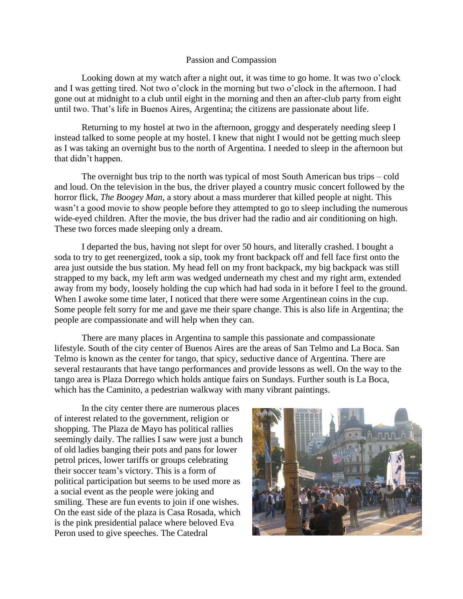## Passion and Compassion

Looking down at my watch after a night out, it was time to go home. It was two o'clock and I was getting tired. Not two o'clock in the morning but two o'clock in the afternoon. I had gone out at midnight to a club until eight in the morning and then an after-club party from eight until two. That's life in Buenos Aires, Argentina; the citizens are passionate about life.

Returning to my hostel at two in the afternoon, groggy and desperately needing sleep I instead talked to some people at my hostel. I knew that night I would not be getting much sleep as I was taking an overnight bus to the north of Argentina. I needed to sleep in the afternoon but that didn't happen.

The overnight bus trip to the north was typical of most South American bus trips – cold and loud. On the television in the bus, the driver played a country music concert followed by the horror flick, *The Boogey Man*, a story about a mass murderer that killed people at night. This wasn't a good movie to show people before they attempted to go to sleep including the numerous wide-eyed children. After the movie, the bus driver had the radio and air conditioning on high. These two forces made sleeping only a dream.

I departed the bus, having not slept for over 50 hours, and literally crashed. I bought a soda to try to get reenergized, took a sip, took my front backpack off and fell face first onto the area just outside the bus station. My head fell on my front backpack, my big backpack was still strapped to my back, my left arm was wedged underneath my chest and my right arm, extended away from my body, loosely holding the cup which had had soda in it before I feel to the ground. When I awoke some time later, I noticed that there were some Argentinean coins in the cup. Some people felt sorry for me and gave me their spare change. This is also life in Argentina; the people are compassionate and will help when they can.

There are many places in Argentina to sample this passionate and compassionate lifestyle. South of the city center of Buenos Aires are the areas of San Telmo and La Boca. San Telmo is known as the center for tango, that spicy, seductive dance of Argentina. There are several restaurants that have tango performances and provide lessons as well. On the way to the tango area is Plaza Dorrego which holds antique fairs on Sundays. Further south is La Boca, which has the Caminito, a pedestrian walkway with many vibrant paintings.

In the city center there are numerous places of interest related to the government, religion or shopping. The Plaza de Mayo has political rallies seemingly daily. The rallies I saw were just a bunch of old ladies banging their pots and pans for lower petrol prices, lower tariffs or groups celebrating their soccer team's victory. This is a form of political participation but seems to be used more as a social event as the people were joking and smiling. These are fun events to join if one wishes. On the east side of the plaza is Casa Rosada, which is the pink presidential palace where beloved Eva Peron used to give speeches. The Catedral

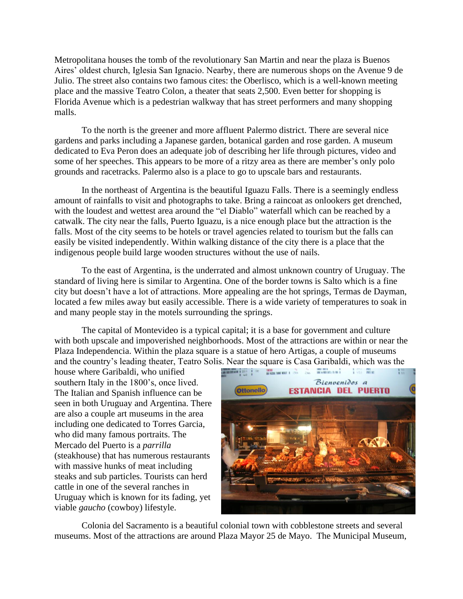Metropolitana houses the tomb of the revolutionary San Martin and near the plaza is Buenos Aires' oldest church, Iglesia San Ignacio. Nearby, there are numerous shops on the Avenue 9 de Julio. The street also contains two famous cites: the Oberlisco, which is a well-known meeting place and the massive Teatro Colon, a theater that seats 2,500. Even better for shopping is Florida Avenue which is a pedestrian walkway that has street performers and many shopping malls.

To the north is the greener and more affluent Palermo district. There are several nice gardens and parks including a Japanese garden, botanical garden and rose garden. A museum dedicated to Eva Peron does an adequate job of describing her life through pictures, video and some of her speeches. This appears to be more of a ritzy area as there are member's only polo grounds and racetracks. Palermo also is a place to go to upscale bars and restaurants.

In the northeast of Argentina is the beautiful Iguazu Falls. There is a seemingly endless amount of rainfalls to visit and photographs to take. Bring a raincoat as onlookers get drenched, with the loudest and wettest area around the "el Diablo" waterfall which can be reached by a catwalk. The city near the falls, Puerto Iguazu, is a nice enough place but the attraction is the falls. Most of the city seems to be hotels or travel agencies related to tourism but the falls can easily be visited independently. Within walking distance of the city there is a place that the indigenous people build large wooden structures without the use of nails.

To the east of Argentina, is the underrated and almost unknown country of Uruguay. The standard of living here is similar to Argentina. One of the border towns is Salto which is a fine city but doesn't have a lot of attractions. More appealing are the hot springs, Termas de Dayman, located a few miles away but easily accessible. There is a wide variety of temperatures to soak in and many people stay in the motels surrounding the springs.

The capital of Montevideo is a typical capital; it is a base for government and culture with both upscale and impoverished neighborhoods. Most of the attractions are within or near the Plaza Independencia. Within the plaza square is a statue of hero Artigas, a couple of museums and the country's leading theater, Teatro Solis. Near the square is Casa Garibaldi, which was the house where Garibaldi, who unified

house where Garibaldi, who unified southern Italy in the 1800's, once lived. The Italian and Spanish influence can be seen in both Uruguay and Argentina. There are also a couple art museums in the area including one dedicated to Torres Garcia, who did many famous portraits. The Mercado del Puerto is a *parrilla* (steakhouse) that has numerous restaurants with massive hunks of meat including steaks and sub particles. Tourists can herd cattle in one of the several ranches in Uruguay which is known for its fading, yet viable *gaucho* (cowboy) lifestyle.



Colonia del Sacramento is a beautiful colonial town with cobblestone streets and several museums. Most of the attractions are around Plaza Mayor 25 de Mayo. The Municipal Museum,